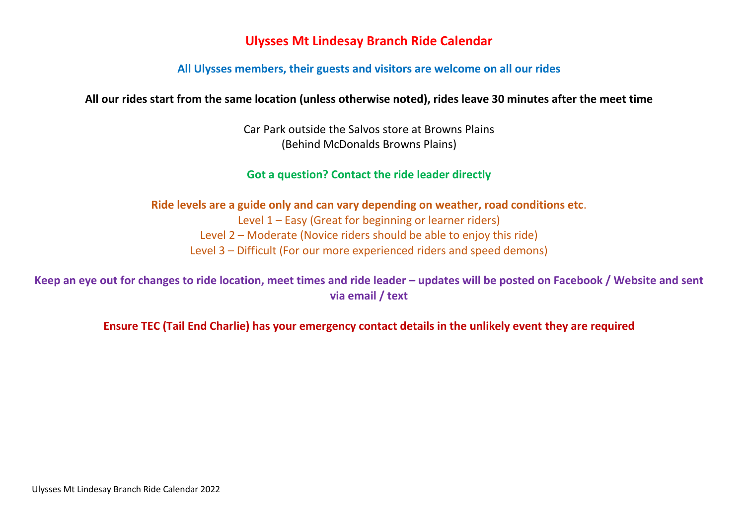## **Ulysses Mt Lindesay Branch Ride Calendar**

#### **All Ulysses members, their guests and visitors are welcome on all our rides**

#### **All our rides start from the same location (unless otherwise noted), rides leave 30 minutes after the meet time**

Car Park outside the Salvos store at Browns Plains (Behind McDonalds Browns Plains)

#### **Got a question? Contact the ride leader directly**

**Ride levels are a guide only and can vary depending on weather, road conditions etc**. Level 1 – Easy (Great for beginning or learner riders) Level 2 – Moderate (Novice riders should be able to enjoy this ride) Level 3 – Difficult (For our more experienced riders and speed demons)

Keep an eye out for changes to ride location, meet times and ride leader – updates will be posted on Facebook / Website and sent **via email / text**

**Ensure TEC (Tail End Charlie) has your emergency contact details in the unlikely event they are required**

Ulysses Mt Lindesay Branch Ride Calendar 2022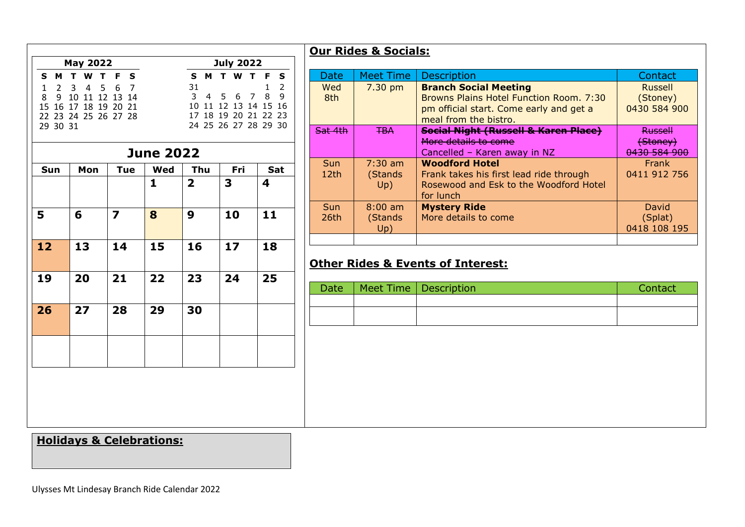|                                | <b>May 2022</b>      |                         |                     |                | <b>July 2022</b>                             |                                |
|--------------------------------|----------------------|-------------------------|---------------------|----------------|----------------------------------------------|--------------------------------|
| M<br>S.                        | T.<br>W T            | F S                     | T W T F<br>S M<br>S |                |                                              |                                |
| $\mathbf{1}$<br>$\overline{2}$ | 3 <sup>7</sup>       | 4 5 6 7                 |                     | 31             |                                              | $\overline{2}$<br>$\mathbf{1}$ |
| 8<br>9                         | 10 11 12 13 14       |                         |                     | $\mathbf{3}$   | 4 5 6 7                                      | 8<br>9                         |
|                                | 15 16 17 18 19 20 21 |                         |                     |                | 10 11 12 13 14 15 16                         |                                |
| 29 30 31                       | 22 23 24 25 26 27 28 |                         |                     |                | 17 18 19 20 21 22 23<br>24 25 26 27 28 29 30 |                                |
|                                |                      |                         |                     |                |                                              |                                |
|                                |                      |                         | <b>June 2022</b>    |                |                                              |                                |
| Sun                            | Mon                  | <b>Tue</b>              | Wed                 | Thu            | Fri                                          | Sat                            |
|                                |                      |                         | $\mathbf{1}$        | $\overline{2}$ | 3                                            | 4                              |
|                                |                      |                         |                     |                |                                              |                                |
|                                |                      | $\overline{\mathbf{z}}$ |                     | 9              |                                              | 11                             |
| 5                              | 6                    |                         | 8                   |                | 10                                           |                                |
|                                |                      |                         |                     |                |                                              |                                |
| 12                             | 13                   | 14                      | 15                  | 16             | 17                                           | 18                             |
|                                |                      |                         |                     |                |                                              |                                |
| 19                             | 20                   | 21                      | 22                  | 23             | 24                                           | 25                             |
|                                |                      |                         |                     |                |                                              |                                |
|                                |                      |                         |                     |                |                                              |                                |
| 26                             | 27                   | 28                      | 29                  | 30             |                                              |                                |
|                                |                      |                         |                     |                |                                              |                                |
|                                |                      |                         |                     |                |                                              |                                |
|                                |                      |                         |                     |                |                                              |                                |
|                                |                      |                         |                     |                |                                              |                                |

# **Our Rides & Socials:**

| Date                    | <b>Meet Time</b>             | <b>Description</b>                                                                                                                          | Contact                                    |  |
|-------------------------|------------------------------|---------------------------------------------------------------------------------------------------------------------------------------------|--------------------------------------------|--|
| Wed<br>8th              | $7.30$ pm                    | <b>Branch Social Meeting</b><br>Browns Plains Hotel Function Room. 7:30<br>pm official start. Come early and get a<br>meal from the bistro. | <b>Russell</b><br>(Stoney)<br>0430 584 900 |  |
| <del>Sat 4th</del>      | <b>TBA</b>                   | <b>Social Night (Russell &amp; Karen Place)</b><br>More details to come<br>Cancelled - Karen away in NZ                                     | <b>Russell</b><br>(Stoney)<br>0430 584 900 |  |
| Sun<br>12 <sub>th</sub> | $7:30$ am<br>(Stands<br>Up)  | <b>Woodford Hotel</b><br>Frank takes his first lead ride through<br>Rosewood and Esk to the Woodford Hotel<br>for lunch                     | <b>Frank</b><br>0411 912 756               |  |
| Sun<br>26th             | $8:00$ am<br>(Stands)<br>Up) | <b>Mystery Ride</b><br>More details to come                                                                                                 | David<br>(Splat)<br>0418 108 195           |  |
|                         |                              |                                                                                                                                             |                                            |  |

## **Other Rides & Events of Interest:**

| <b>Date</b> | Meet Time Description | Contact |
|-------------|-----------------------|---------|
|             |                       |         |
|             |                       |         |

# **Holidays & Celebrations:**